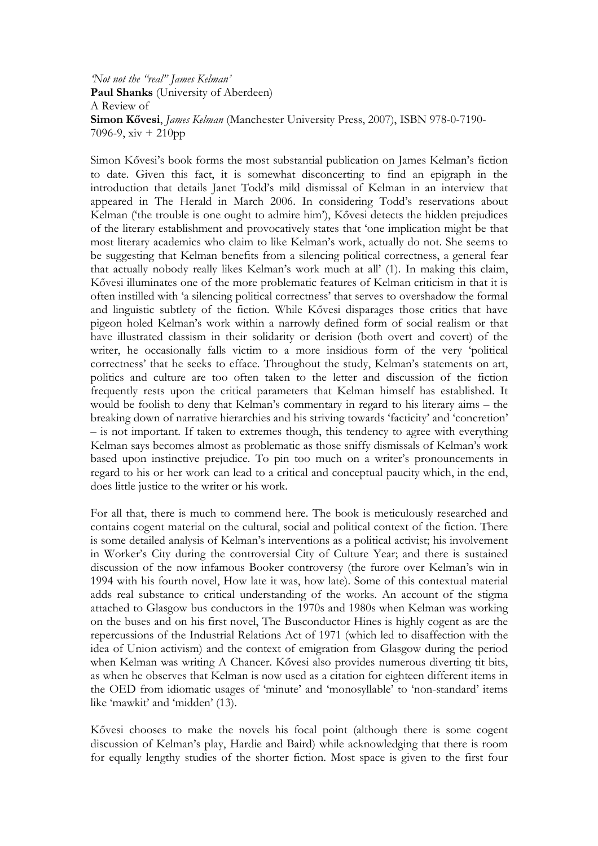## 'Not not the "real" James Kelman' Paul Shanks (University of Aberdeen) A Review of Simon Kővesi, James Kelman (Manchester University Press, 2007), ISBN 978-0-7190-7096-9,  $xiv + 210pp$

Simon Kővesi's book forms the most substantial publication on James Kelman's fiction to date. Given this fact, it is somewhat disconcerting to find an epigraph in the introduction that details Janet Todd's mild dismissal of Kelman in an interview that appeared in The Herald in March 2006. In considering Todd's reservations about Kelman ('the trouble is one ought to admire him'), Kővesi detects the hidden prejudices of the literary establishment and provocatively states that 'one implication might be that most literary academics who claim to like Kelman's work, actually do not. She seems to be suggesting that Kelman benefits from a silencing political correctness, a general fear that actually nobody really likes Kelman's work much at all' (1). In making this claim, Kõvesi illuminates one of the more problematic features of Kelman criticism in that it is often instilled with 'a silencing political correctness' that serves to overshadow the formal and linguistic subtlety of the fiction. While Kovesi disparages those critics that have pigeon holed Kelman's work within a narrowly defined form of social realism or that have illustrated classism in their solidarity or derision (both overt and covert) of the writer, he occasionally falls victim to a more insidious form of the very 'political correctness' that he seeks to efface. Throughout the study, Kelman's statements on art, politics and culture are too often taken to the letter and discussion of the fiction frequently rests upon the critical parameters that Kelman himself has established. It would be foolish to deny that Kelman's commentary in regard to his literary aims – the breaking down of narrative hierarchies and his striving towards 'facticity' and 'concretion' – is not important. If taken to extremes though, this tendency to agree with everything Kelman says becomes almost as problematic as those sniffy dismissals of Kelman's work based upon instinctive prejudice. To pin too much on a writer's pronouncements in regard to his or her work can lead to a critical and conceptual paucity which, in the end, does little justice to the writer or his work.

For all that, there is much to commend here. The book is meticulously researched and contains cogent material on the cultural, social and political context of the fiction. There is some detailed analysis of Kelman's interventions as a political activist; his involvement in Worker's City during the controversial City of Culture Year; and there is sustained discussion of the now infamous Booker controversy (the furore over Kelman's win in 1994 with his fourth novel, How late it was, how late). Some of this contextual material adds real substance to critical understanding of the works. An account of the stigma attached to Glasgow bus conductors in the 1970s and 1980s when Kelman was working on the buses and on his first novel, The Busconductor Hines is highly cogent as are the repercussions of the Industrial Relations Act of 1971 (which led to disaffection with the idea of Union activism) and the context of emigration from Glasgow during the period when Kelman was writing A Chancer. Kővesi also provides numerous diverting tit bits, as when he observes that Kelman is now used as a citation for eighteen different items in the OED from idiomatic usages of 'minute' and 'monosyllable' to 'non-standard' items like 'mawkit' and 'midden' (13).

Kovesi chooses to make the novels his focal point (although there is some cogent discussion of Kelman's play, Hardie and Baird) while acknowledging that there is room for equally lengthy studies of the shorter fiction. Most space is given to the first four